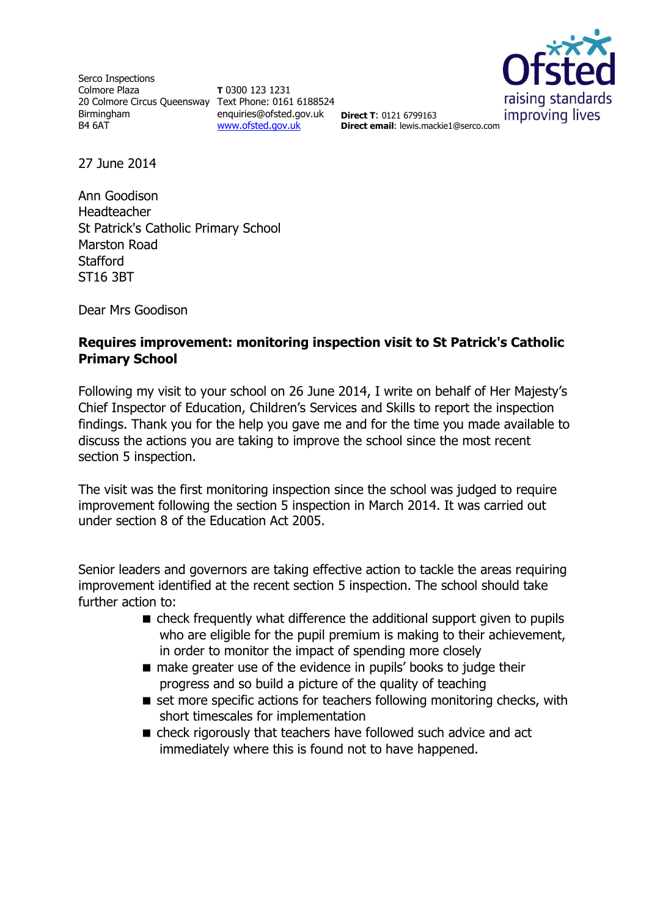Serco Inspections Colmore Plaza 20 Colmore Circus Queensway Text Phone: 0161 6188524 Birmingham B4 6AT

**T** 0300 123 1231 enquiries@ofsted.gov.uk **Direct T**: 0121 6799163 [www.ofsted.gov.uk](http://www.ofsted.gov.uk/)



**Direct email**: lewis.mackie1@serco.com

27 June 2014

Ann Goodison Headteacher St Patrick's Catholic Primary School Marston Road **Stafford** ST16 3BT

Dear Mrs Goodison

## **Requires improvement: monitoring inspection visit to St Patrick's Catholic Primary School**

Following my visit to your school on 26 June 2014, I write on behalf of Her Majesty's Chief Inspector of Education, Children's Services and Skills to report the inspection findings. Thank you for the help you gave me and for the time you made available to discuss the actions you are taking to improve the school since the most recent section 5 inspection.

The visit was the first monitoring inspection since the school was judged to require improvement following the section 5 inspection in March 2014. It was carried out under section 8 of the Education Act 2005.

Senior leaders and governors are taking effective action to tackle the areas requiring improvement identified at the recent section 5 inspection. The school should take further action to:

- check frequently what difference the additional support given to pupils who are eligible for the pupil premium is making to their achievement, in order to monitor the impact of spending more closely
- make greater use of the evidence in pupils' books to judge their progress and so build a picture of the quality of teaching
- $\blacksquare$  set more specific actions for teachers following monitoring checks, with short timescales for implementation
- check rigorously that teachers have followed such advice and act immediately where this is found not to have happened.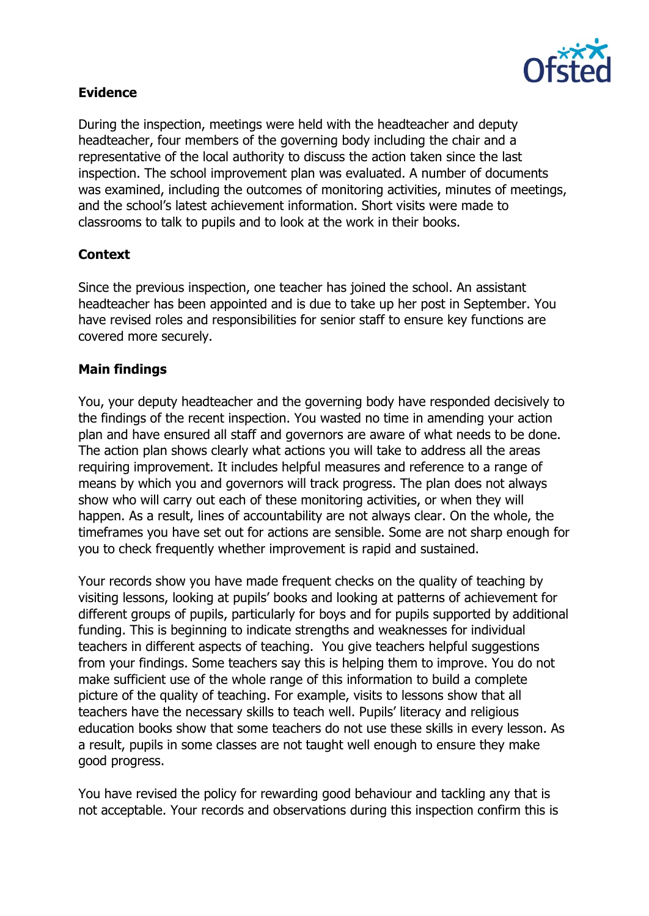

## **Evidence**

During the inspection, meetings were held with the headteacher and deputy headteacher, four members of the governing body including the chair and a representative of the local authority to discuss the action taken since the last inspection. The school improvement plan was evaluated. A number of documents was examined, including the outcomes of monitoring activities, minutes of meetings, and the school's latest achievement information. Short visits were made to classrooms to talk to pupils and to look at the work in their books.

# **Context**

Since the previous inspection, one teacher has joined the school. An assistant headteacher has been appointed and is due to take up her post in September. You have revised roles and responsibilities for senior staff to ensure key functions are covered more securely.

## **Main findings**

You, your deputy headteacher and the governing body have responded decisively to the findings of the recent inspection. You wasted no time in amending your action plan and have ensured all staff and governors are aware of what needs to be done. The action plan shows clearly what actions you will take to address all the areas requiring improvement. It includes helpful measures and reference to a range of means by which you and governors will track progress. The plan does not always show who will carry out each of these monitoring activities, or when they will happen. As a result, lines of accountability are not always clear. On the whole, the timeframes you have set out for actions are sensible. Some are not sharp enough for you to check frequently whether improvement is rapid and sustained.

Your records show you have made frequent checks on the quality of teaching by visiting lessons, looking at pupils' books and looking at patterns of achievement for different groups of pupils, particularly for boys and for pupils supported by additional funding. This is beginning to indicate strengths and weaknesses for individual teachers in different aspects of teaching. You give teachers helpful suggestions from your findings. Some teachers say this is helping them to improve. You do not make sufficient use of the whole range of this information to build a complete picture of the quality of teaching. For example, visits to lessons show that all teachers have the necessary skills to teach well. Pupils' literacy and religious education books show that some teachers do not use these skills in every lesson. As a result, pupils in some classes are not taught well enough to ensure they make good progress.

You have revised the policy for rewarding good behaviour and tackling any that is not acceptable. Your records and observations during this inspection confirm this is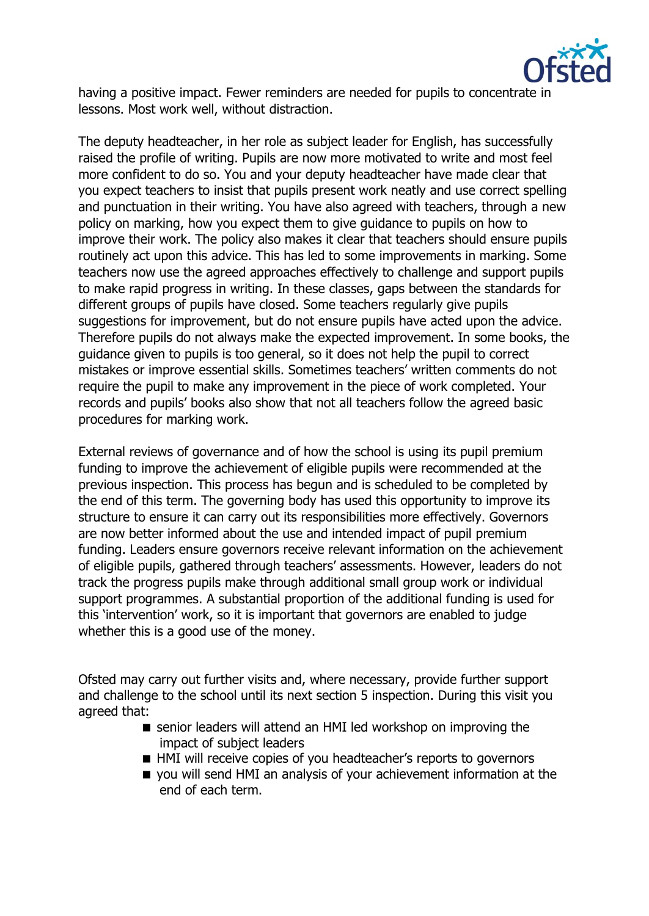

having a positive impact. Fewer reminders are needed for pupils to concentrate in lessons. Most work well, without distraction.

The deputy headteacher, in her role as subject leader for English, has successfully raised the profile of writing. Pupils are now more motivated to write and most feel more confident to do so. You and your deputy headteacher have made clear that you expect teachers to insist that pupils present work neatly and use correct spelling and punctuation in their writing. You have also agreed with teachers, through a new policy on marking, how you expect them to give guidance to pupils on how to improve their work. The policy also makes it clear that teachers should ensure pupils routinely act upon this advice. This has led to some improvements in marking. Some teachers now use the agreed approaches effectively to challenge and support pupils to make rapid progress in writing. In these classes, gaps between the standards for different groups of pupils have closed. Some teachers regularly give pupils suggestions for improvement, but do not ensure pupils have acted upon the advice. Therefore pupils do not always make the expected improvement. In some books, the guidance given to pupils is too general, so it does not help the pupil to correct mistakes or improve essential skills. Sometimes teachers' written comments do not require the pupil to make any improvement in the piece of work completed. Your records and pupils' books also show that not all teachers follow the agreed basic procedures for marking work.

External reviews of governance and of how the school is using its pupil premium funding to improve the achievement of eligible pupils were recommended at the previous inspection. This process has begun and is scheduled to be completed by the end of this term. The governing body has used this opportunity to improve its structure to ensure it can carry out its responsibilities more effectively. Governors are now better informed about the use and intended impact of pupil premium funding. Leaders ensure governors receive relevant information on the achievement of eligible pupils, gathered through teachers' assessments. However, leaders do not track the progress pupils make through additional small group work or individual support programmes. A substantial proportion of the additional funding is used for this 'intervention' work, so it is important that governors are enabled to judge whether this is a good use of the money.

Ofsted may carry out further visits and, where necessary, provide further support and challenge to the school until its next section 5 inspection. During this visit you agreed that:

- senior leaders will attend an HMI led workshop on improving the impact of subject leaders
- HMI will receive copies of you headteacher's reports to governors
- $\blacksquare$  you will send HMI an analysis of your achievement information at the end of each term.